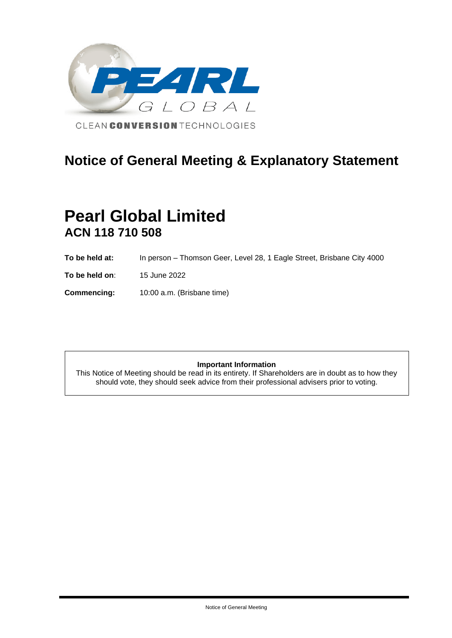

# **Notice of General Meeting & Explanatory Statement**

# **Pearl Global Limited ACN 118 710 508**

- **To be held at:** In person Thomson Geer, Level 28, 1 Eagle Street, Brisbane City 4000
- **To be held on**: 15 June 2022

**Commencing:** 10:00 a.m. (Brisbane time)

### **Important Information**

This Notice of Meeting should be read in its entirety. If Shareholders are in doubt as to how they should vote, they should seek advice from their professional advisers prior to voting.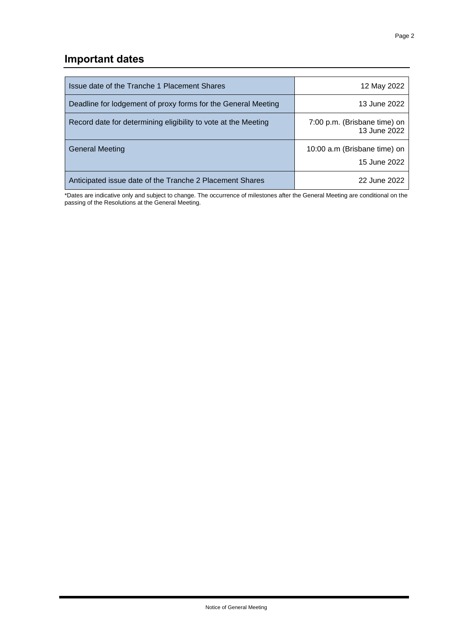## **Important dates**

| Issue date of the Tranche 1 Placement Shares                   | 12 May 2022                                  |
|----------------------------------------------------------------|----------------------------------------------|
| Deadline for lodgement of proxy forms for the General Meeting  | 13 June 2022                                 |
| Record date for determining eligibility to vote at the Meeting | 7:00 p.m. (Brisbane time) on<br>13 June 2022 |
| General Meeting                                                | 10:00 a.m (Brisbane time) on<br>15 June 2022 |
| Anticipated issue date of the Tranche 2 Placement Shares       | 22 June 2022                                 |

\*Dates are indicative only and subject to change. The occurrence of milestones after the General Meeting are conditional on the passing of the Resolutions at the General Meeting.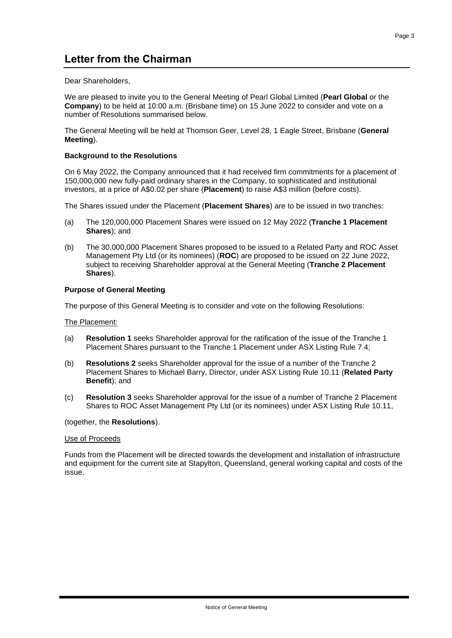Dear Shareholders,

We are pleased to invite you to the General Meeting of Pearl Global Limited (**Pearl Global** or the **Company**) to be held at 10:00 a.m. (Brisbane time) on 15 June 2022 to consider and vote on a number of Resolutions summarised below.

The General Meeting will be held at Thomson Geer, Level 28, [1](file:///C:/NRPortbl/Legal/ECCOOK/%5binsert%5d) Eagle Street, Brisbane (**General Meeting**).

### **Background to the Resolutions**

On 6 May 2022, the Company announced that it had received firm commitments for a placement of 150,000,000 new fully-paid ordinary shares in the Company, to sophisticated and institutional investors, at a price of A\$0.02 per share (**Placement**) to raise A\$3 million (before costs).

The Shares issued under the Placement (**Placement Shares**) are to be issued in two tranches:

- (a) The 120,000,000 Placement Shares were issued on 12 May 2022 (**Tranche 1 Placement Shares**); and
- (b) The 30,000,000 Placement Shares proposed to be issued to a Related Party and ROC Asset Management Pty Ltd (or its nominees) (**ROC**) are proposed to be issued on 22 June 2022, subject to receiving Shareholder approval at the General Meeting (**Tranche 2 Placement Shares**).

### **Purpose of General Meeting**

The purpose of this General Meeting is to consider and vote on the following Resolutions:

### The Placement:

- (a) **Resolution 1** seeks Shareholder approval for the ratification of the issue of the Tranche 1 Placement Shares pursuant to the Tranche 1 Placement under ASX Listing Rule 7.4;
- (b) **Resolutions 2** seeks Shareholder approval for the issue of a number of the Tranche 2 Placement Shares to Michael Barry, Director, under ASX Listing Rule 10.11 (**Related Party Benefit**); and
- (c) **Resolution 3** seeks Shareholder approval for the issue of a number of Tranche 2 Placement Shares to ROC Asset Management Pty Ltd (or its nominees) under ASX Listing Rule 10.11,

### (together, the **Resolutions**).

### Use of Proceeds

Funds from the Placement will be directed towards the development and installation of infrastructure and equipment for the current site at Stapylton, Queensland, general working capital and costs of the issue.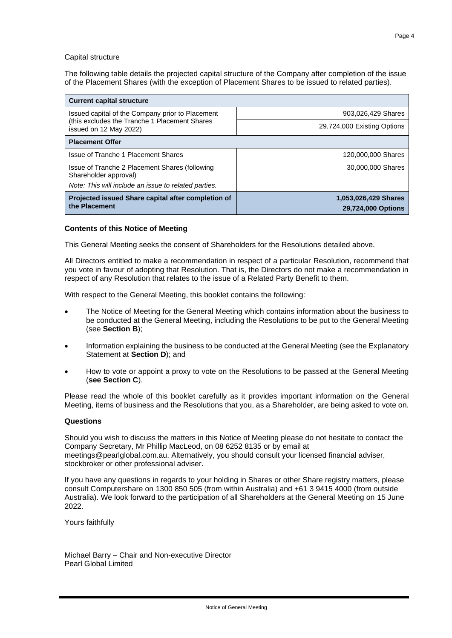### Capital structure

The following table details the projected capital structure of the Company after completion of the issue of the Placement Shares (with the exception of Placement Shares to be issued to related parties).

| <b>Current capital structure</b>                                                                                                |                                            |  |  |
|---------------------------------------------------------------------------------------------------------------------------------|--------------------------------------------|--|--|
| Issued capital of the Company prior to Placement                                                                                | 903,026,429 Shares                         |  |  |
| (this excludes the Tranche 1 Placement Shares)<br>issued on 12 May 2022)                                                        | 29,724,000 Existing Options                |  |  |
| <b>Placement Offer</b>                                                                                                          |                                            |  |  |
| Issue of Tranche 1 Placement Shares                                                                                             | 120,000,000 Shares                         |  |  |
| Issue of Tranche 2 Placement Shares (following<br>Shareholder approval)<br>Note: This will include an issue to related parties. | 30,000,000 Shares                          |  |  |
| Projected issued Share capital after completion of<br>the Placement                                                             | 1,053,026,429 Shares<br>29,724,000 Options |  |  |

### **Contents of this Notice of Meeting**

This General Meeting seeks the consent of Shareholders for the Resolutions detailed above.

All Directors entitled to make a recommendation in respect of a particular Resolution, recommend that you vote in favour of adopting that Resolution. That is, the Directors do not make a recommendation in respect of any Resolution that relates to the issue of a Related Party Benefit to them.

With respect to the General Meeting, this booklet contains the following:

- The Notice of Meeting for the General Meeting which contains information about the business to be conducted at the General Meeting, including the Resolutions to be put to the General Meeting (see **Section B**);
- Information explaining the business to be conducted at the General Meeting (see the Explanatory Statement at **Section D**); and
- How to vote or appoint a proxy to vote on the Resolutions to be passed at the General Meeting (**see Section C**).

Please read the whole of this booklet carefully as it provides important information on the General Meeting, items of business and the Resolutions that you, as a Shareholder, are being asked to vote on.

### **Questions**

Should you wish to discuss the matters in this Notice of Meeting please do not hesitate to contact the Company Secretary, Mr Phillip MacLeod, on 08 6252 8135 or by email at meetings@pearlglobal.com.au. Alternatively, you should consult your licensed financial adviser, stockbroker or other professional adviser.

If you have any questions in regards to your holding in Shares or other Share registry matters, please consult Computershare on 1300 850 505 (from within Australia) and +61 3 9415 4000 (from outside Australia). We look forward to the participation of all Shareholders at the General Meeting on 15 June 2022.

Yours faithfully

Michael Barry – Chair and Non-executive Director Pearl Global Limited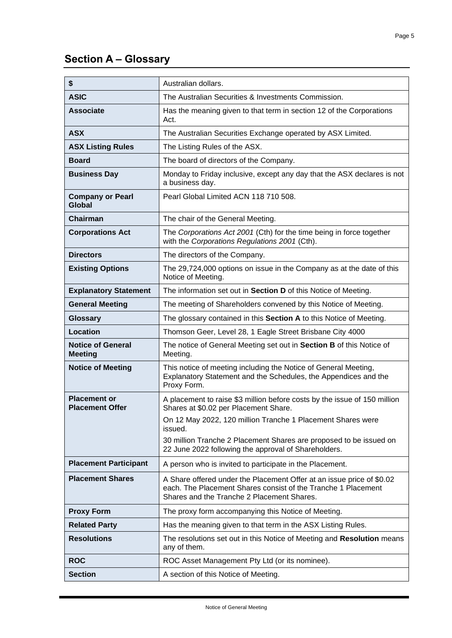# **Section A – Glossary**

| \$                                            | Australian dollars.                                                                                                                                                                  |
|-----------------------------------------------|--------------------------------------------------------------------------------------------------------------------------------------------------------------------------------------|
| <b>ASIC</b>                                   | The Australian Securities & Investments Commission.                                                                                                                                  |
| <b>Associate</b>                              | Has the meaning given to that term in section 12 of the Corporations<br>Act.                                                                                                         |
| <b>ASX</b>                                    | The Australian Securities Exchange operated by ASX Limited.                                                                                                                          |
| <b>ASX Listing Rules</b>                      | The Listing Rules of the ASX.                                                                                                                                                        |
| <b>Board</b>                                  | The board of directors of the Company.                                                                                                                                               |
| <b>Business Day</b>                           | Monday to Friday inclusive, except any day that the ASX declares is not<br>a business day.                                                                                           |
| <b>Company or Pearl</b><br><b>Global</b>      | Pearl Global Limited ACN 118 710 508.                                                                                                                                                |
| <b>Chairman</b>                               | The chair of the General Meeting.                                                                                                                                                    |
| <b>Corporations Act</b>                       | The Corporations Act 2001 (Cth) for the time being in force together<br>with the Corporations Regulations 2001 (Cth).                                                                |
| <b>Directors</b>                              | The directors of the Company.                                                                                                                                                        |
| <b>Existing Options</b>                       | The 29,724,000 options on issue in the Company as at the date of this<br>Notice of Meeting.                                                                                          |
| <b>Explanatory Statement</b>                  | The information set out in Section D of this Notice of Meeting.                                                                                                                      |
| <b>General Meeting</b>                        | The meeting of Shareholders convened by this Notice of Meeting.                                                                                                                      |
| <b>Glossary</b>                               | The glossary contained in this Section A to this Notice of Meeting.                                                                                                                  |
| Location                                      | Thomson Geer, Level 28, 1 Eagle Street Brisbane City 4000                                                                                                                            |
| <b>Notice of General</b><br><b>Meeting</b>    | The notice of General Meeting set out in Section B of this Notice of<br>Meeting.                                                                                                     |
| <b>Notice of Meeting</b>                      | This notice of meeting including the Notice of General Meeting,<br>Explanatory Statement and the Schedules, the Appendices and the<br>Proxy Form.                                    |
| <b>Placement or</b><br><b>Placement Offer</b> | A placement to raise \$3 million before costs by the issue of 150 million<br>Shares at \$0.02 per Placement Share.                                                                   |
|                                               | On 12 May 2022, 120 million Tranche 1 Placement Shares were<br>issued.                                                                                                               |
|                                               | 30 million Tranche 2 Placement Shares are proposed to be issued on<br>22 June 2022 following the approval of Shareholders.                                                           |
| <b>Placement Participant</b>                  | A person who is invited to participate in the Placement.                                                                                                                             |
| <b>Placement Shares</b>                       | A Share offered under the Placement Offer at an issue price of \$0.02<br>each. The Placement Shares consist of the Tranche 1 Placement<br>Shares and the Tranche 2 Placement Shares. |
| <b>Proxy Form</b>                             | The proxy form accompanying this Notice of Meeting.                                                                                                                                  |
| <b>Related Party</b>                          | Has the meaning given to that term in the ASX Listing Rules.                                                                                                                         |
| <b>Resolutions</b>                            | The resolutions set out in this Notice of Meeting and Resolution means<br>any of them.                                                                                               |
| <b>ROC</b>                                    | ROC Asset Management Pty Ltd (or its nominee).                                                                                                                                       |
| <b>Section</b>                                | A section of this Notice of Meeting.                                                                                                                                                 |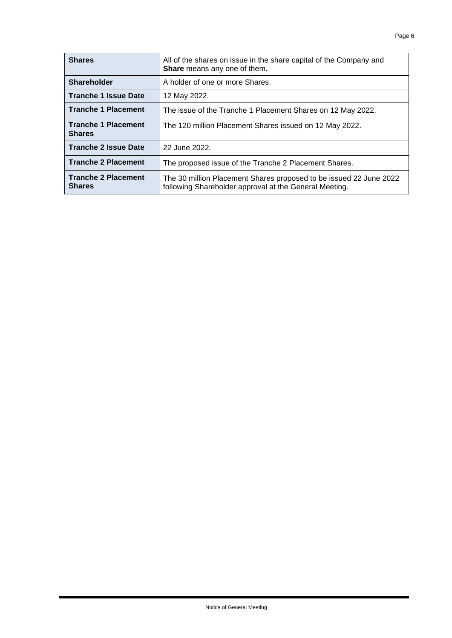| <b>Shares</b>                               | All of the shares on issue in the share capital of the Company and<br>Share means any one of them.                           |
|---------------------------------------------|------------------------------------------------------------------------------------------------------------------------------|
| <b>Shareholder</b>                          | A holder of one or more Shares.                                                                                              |
| <b>Tranche 1 Issue Date</b>                 | 12 May 2022.                                                                                                                 |
| <b>Tranche 1 Placement</b>                  | The issue of the Tranche 1 Placement Shares on 12 May 2022.                                                                  |
| <b>Tranche 1 Placement</b><br><b>Shares</b> | The 120 million Placement Shares issued on 12 May 2022.                                                                      |
| <b>Tranche 2 Issue Date</b>                 | 22 June 2022.                                                                                                                |
| <b>Tranche 2 Placement</b>                  | The proposed issue of the Tranche 2 Placement Shares.                                                                        |
| <b>Tranche 2 Placement</b><br><b>Shares</b> | The 30 million Placement Shares proposed to be issued 22 June 2022<br>following Shareholder approval at the General Meeting. |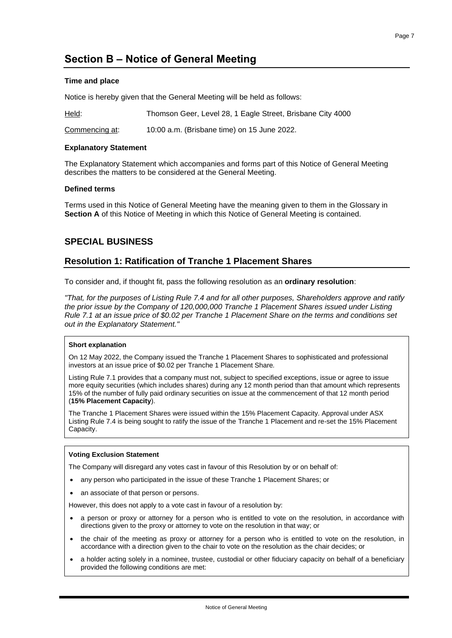## **Section B – Notice of General Meeting**

### **Time and place**

Notice is hereby given that the General Meeting will be held as follows:

| Held:          | Thomson Geer, Level 28, 1 Eagle Street, Brisbane City 4000 |
|----------------|------------------------------------------------------------|
| Commencing at: | 10:00 a.m. (Brisbane time) on 15 June 2022.                |

### **Explanatory Statement**

The Explanatory Statement which accompanies and forms part of this Notice of General Meeting describes the matters to be considered at the General Meeting.

### **Defined terms**

Terms used in this Notice of General Meeting have the meaning given to them in the Glossary in **Section A** of this Notice of Meeting in which this Notice of General Meeting is contained.

### **SPECIAL BUSINESS**

### **Resolution 1: Ratification of Tranche 1 Placement Shares**

To consider and, if thought fit, pass the following resolution as an **ordinary resolution**:

*"That, for the purposes of Listing Rule 7.4 and for all other purposes, Shareholders approve and ratify the prior issue by the Company of 120,000,000 Tranche 1 Placement Shares issued under Listing Rule 7.1 at an issue price of \$0.02 per Tranche 1 Placement Share on the terms and conditions set out in the Explanatory Statement."*

### **Short explanation**

On 12 May 2022, the Company issued the Tranche 1 Placement Shares to sophisticated and professional investors at an issue price of \$0.02 per Tranche 1 Placement Share*.*

Listing Rule 7.1 provides that a company must not, subject to specified exceptions, issue or agree to issue more equity securities (which includes shares) during any 12 month period than that amount which represents 15% of the number of fully paid ordinary securities on issue at the commencement of that 12 month period (**15% Placement Capacity**).

The Tranche 1 Placement Shares were issued within the 15% Placement Capacity. Approval under ASX Listing Rule 7.4 is being sought to ratify the issue of the Tranche 1 Placement and re-set the 15% Placement Capacity.

### **Voting Exclusion Statement**

The Company will disregard any votes cast in favour of this Resolution by or on behalf of:

- any person who participated in the issue of these Tranche 1 Placement Shares; or
- an associate of that person or persons.

However, this does not apply to a vote cast in favour of a resolution by:

- a person or proxy or attorney for a person who is entitled to vote on the resolution, in accordance with directions given to the proxy or attorney to vote on the resolution in that way; or
- the chair of the meeting as proxy or attorney for a person who is entitled to vote on the resolution, in accordance with a direction given to the chair to vote on the resolution as the chair decides; or
- a holder acting solely in a nominee, trustee, custodial or other fiduciary capacity on behalf of a beneficiary provided the following conditions are met: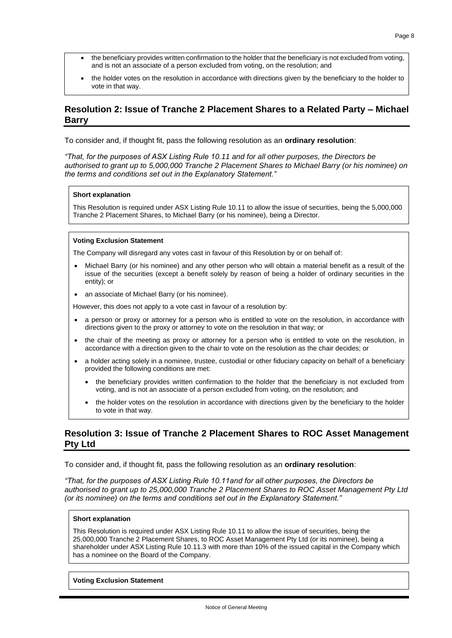- the beneficiary provides written confirmation to the holder that the beneficiary is not excluded from voting, and is not an associate of a person excluded from voting, on the resolution; and
- the holder votes on the resolution in accordance with directions given by the beneficiary to the holder to vote in that way.

### **Resolution 2: Issue of Tranche 2 Placement Shares to a Related Party – Michael Barry**

To consider and, if thought fit, pass the following resolution as an **ordinary resolution**:

*"That, for the purposes of ASX Listing Rule 10.11 and for all other purposes, the Directors be authorised to grant up to 5,000,000 Tranche 2 Placement Shares to Michael Barry (or his nominee) on the terms and conditions set out in the Explanatory Statement."* 

### **Short explanation**

This Resolution is required under ASX Listing Rule 10.11 to allow the issue of securities, being the 5,000,000 Tranche 2 Placement Shares, to Michael Barry (or his nominee), being a Director.

#### **Voting Exclusion Statement**

The Company will disregard any votes cast in favour of this Resolution by or on behalf of:

- Michael Barry (or his nominee) and any other person who will obtain a material benefit as a result of the issue of the securities (except a benefit solely by reason of being a holder of ordinary securities in the entity); or
- an associate of Michael Barry (or his nominee).

However, this does not apply to a vote cast in favour of a resolution by:

- a person or proxy or attorney for a person who is entitled to vote on the resolution, in accordance with directions given to the proxy or attorney to vote on the resolution in that way; or
- the chair of the meeting as proxy or attorney for a person who is entitled to vote on the resolution, in accordance with a direction given to the chair to vote on the resolution as the chair decides; or
- a holder acting solely in a nominee, trustee, custodial or other fiduciary capacity on behalf of a beneficiary provided the following conditions are met:
	- the beneficiary provides written confirmation to the holder that the beneficiary is not excluded from voting, and is not an associate of a person excluded from voting, on the resolution; and
	- the holder votes on the resolution in accordance with directions given by the beneficiary to the holder to vote in that way.

### **Resolution 3: Issue of Tranche 2 Placement Shares to ROC Asset Management Pty Ltd**

To consider and, if thought fit, pass the following resolution as an **ordinary resolution**:

*"That, for the purposes of ASX Listing Rule 10.11and for all other purposes, the Directors be authorised to grant up to 25,000,000 Tranche 2 Placement Shares to ROC Asset Management Pty Ltd (or its nominee) on the terms and conditions set out in the Explanatory Statement."*

#### **Short explanation**

This Resolution is required under ASX Listing Rule 10.11 to allow the issue of securities, being the 25,000,000 Tranche 2 Placement Shares, to ROC Asset Management Pty Ltd (or its nominee), being a shareholder under ASX Listing Rule 10.11.3 with more than 10% of the issued capital in the Company which has a nominee on the Board of the Company.

#### **Voting Exclusion Statement**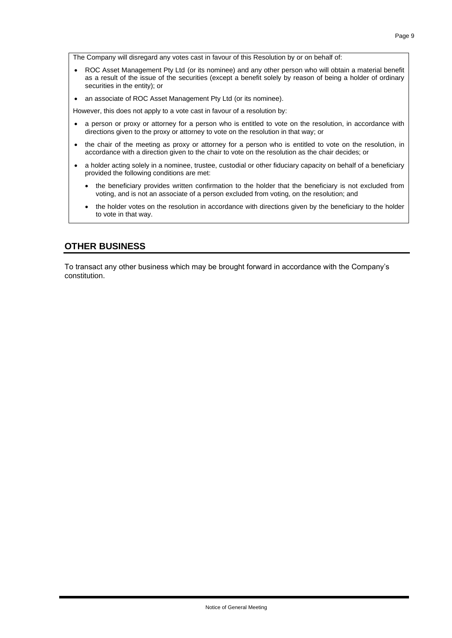The Company will disregard any votes cast in favour of this Resolution by or on behalf of:

- ROC Asset Management Pty Ltd (or its nominee) and any other person who will obtain a material benefit as a result of the issue of the securities (except a benefit solely by reason of being a holder of ordinary securities in the entity); or
- an associate of ROC Asset Management Pty Ltd (or its nominee).

However, this does not apply to a vote cast in favour of a resolution by:

- a person or proxy or attorney for a person who is entitled to vote on the resolution, in accordance with directions given to the proxy or attorney to vote on the resolution in that way; or
- the chair of the meeting as proxy or attorney for a person who is entitled to vote on the resolution, in accordance with a direction given to the chair to vote on the resolution as the chair decides; or
- a holder acting solely in a nominee, trustee, custodial or other fiduciary capacity on behalf of a beneficiary provided the following conditions are met:
	- the beneficiary provides written confirmation to the holder that the beneficiary is not excluded from voting, and is not an associate of a person excluded from voting, on the resolution; and
	- the holder votes on the resolution in accordance with directions given by the beneficiary to the holder to vote in that way.

### **OTHER BUSINESS**

To transact any other business which may be brought forward in accordance with the Company's constitution.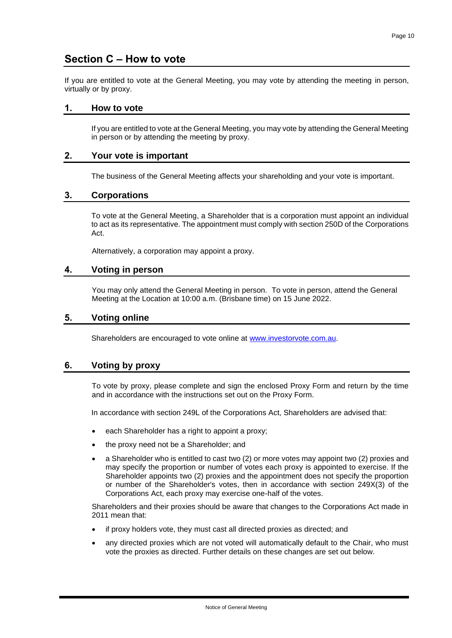### **Section C – How to vote**

If you are entitled to vote at the General Meeting, you may vote by attending the meeting in person, virtually or by proxy.

### **1. How to vote**

If you are entitled to vote at the General Meeting, you may vote by attending the General Meeting in person or by attending the meeting by proxy.

### **2. Your vote is important**

The business of the General Meeting affects your shareholding and your vote is important.

### **3. Corporations**

To vote at the General Meeting, a Shareholder that is a corporation must appoint an individual to act as its representative. The appointment must comply with section 250D of the Corporations Act.

Alternatively, a corporation may appoint a proxy.

### **4. Voting in person**

You may only attend the General Meeting in person. To vote in person, attend the General Meeting at the Location at 10:00 a.m. (Brisbane time) on 15 June 2022.

### **5. Voting online**

Shareholders are encouraged to vote online at [www.investorvote.com.au.](http://www.investorvote.com.au/)

### **6. Voting by proxy**

To vote by proxy, please complete and sign the enclosed Proxy Form and return by the time and in accordance with the instructions set out on the Proxy Form.

In accordance with section 249L of the Corporations Act, Shareholders are advised that:

- each Shareholder has a right to appoint a proxy;
- the proxy need not be a Shareholder; and
- a Shareholder who is entitled to cast two (2) or more votes may appoint two (2) proxies and may specify the proportion or number of votes each proxy is appointed to exercise. If the Shareholder appoints two (2) proxies and the appointment does not specify the proportion or number of the Shareholder's votes, then in accordance with section 249X(3) of the Corporations Act, each proxy may exercise one-half of the votes.

Shareholders and their proxies should be aware that changes to the Corporations Act made in 2011 mean that:

- if proxy holders vote, they must cast all directed proxies as directed; and
- any directed proxies which are not voted will automatically default to the Chair, who must vote the proxies as directed. Further details on these changes are set out below.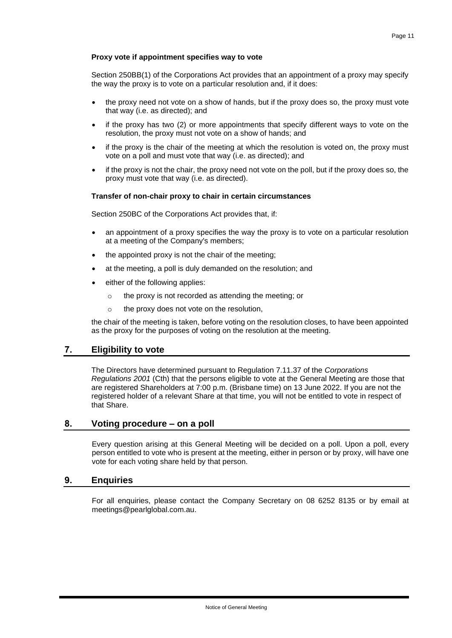### **Proxy vote if appointment specifies way to vote**

Section 250BB(1) of the Corporations Act provides that an appointment of a proxy may specify the way the proxy is to vote on a particular resolution and, if it does:

- the proxy need not vote on a show of hands, but if the proxy does so, the proxy must vote that way (i.e. as directed); and
- if the proxy has two (2) or more appointments that specify different ways to vote on the resolution, the proxy must not vote on a show of hands; and
- if the proxy is the chair of the meeting at which the resolution is voted on, the proxy must vote on a poll and must vote that way (i.e. as directed); and
- if the proxy is not the chair, the proxy need not vote on the poll, but if the proxy does so, the proxy must vote that way (i.e. as directed).

### **Transfer of non-chair proxy to chair in certain circumstances**

Section 250BC of the Corporations Act provides that, if:

- an appointment of a proxy specifies the way the proxy is to vote on a particular resolution at a meeting of the Company's members;
- the appointed proxy is not the chair of the meeting;
- at the meeting, a poll is duly demanded on the resolution; and
- either of the following applies:
	- o the proxy is not recorded as attending the meeting; or
	- o the proxy does not vote on the resolution,

the chair of the meeting is taken, before voting on the resolution closes, to have been appointed as the proxy for the purposes of voting on the resolution at the meeting.

### **7. Eligibility to vote**

The Directors have determined pursuant to Regulation 7.11.37 of the *Corporations Regulations 2001* (Cth) that the persons eligible to vote at the General Meeting are those that are registered Shareholders at 7:00 p.m. (Brisbane time) on 13 June 2022. If you are not the registered holder of a relevant Share at that time, you will not be entitled to vote in respect of that Share.

### **8. Voting procedure – on a poll**

Every question arising at this General Meeting will be decided on a poll. Upon a poll, every person entitled to vote who is present at the meeting, either in person or by proxy, will have one vote for each voting share held by that person.

### **9. Enquiries**

For all enquiries, please contact the Company Secretary on 08 6252 8135 or by email at meetings@pearlglobal.com.au.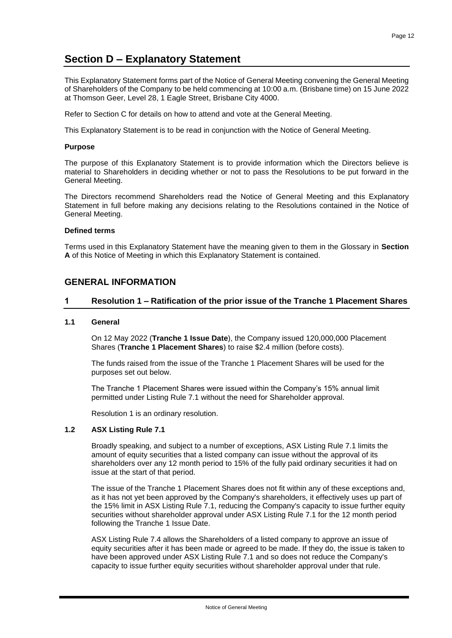### **Section D – Explanatory Statement**

This Explanatory Statement forms part of the Notice of General Meeting convening the General Meeting of Shareholders of the Company to be held commencing at 10:00 a.m. (Brisbane time) on 15 June 2022 at Thomson Geer, Level 28, 1 Eagle Street, Brisbane City 4000.

Refer to Section C for details on how to attend and vote at the General Meeting.

This Explanatory Statement is to be read in conjunction with the Notice of General Meeting.

### **Purpose**

The purpose of this Explanatory Statement is to provide information which the Directors believe is material to Shareholders in deciding whether or not to pass the Resolutions to be put forward in the General Meeting.

The Directors recommend Shareholders read the Notice of General Meeting and this Explanatory Statement in full before making any decisions relating to the Resolutions contained in the Notice of General Meeting.

### **Defined terms**

Terms used in this Explanatory Statement have the meaning given to them in the Glossary in **Section A** of this Notice of Meeting in which this Explanatory Statement is contained.

### **GENERAL INFORMATION**

### **1 Resolution 1 – Ratification of the prior issue of the Tranche 1 Placement Shares**

### **1.1 General**

On 12 May 2022 (**Tranche 1 Issue Date**), the Company issued 120,000,000 Placement Shares (**Tranche 1 Placement Shares**) to raise \$2.4 million (before costs).

The funds raised from the issue of the Tranche 1 Placement Shares will be used for the purposes set out below.

The Tranche 1 Placement Shares were issued within the Company's 15% annual limit permitted under Listing Rule 7.1 without the need for Shareholder approval.

Resolution 1 is an ordinary resolution.

### **1.2 ASX Listing Rule 7.1**

Broadly speaking, and subject to a number of exceptions, ASX Listing Rule 7.1 limits the amount of equity securities that a listed company can issue without the approval of its shareholders over any 12 month period to 15% of the fully paid ordinary securities it had on issue at the start of that period.

The issue of the Tranche 1 Placement Shares does not fit within any of these exceptions and, as it has not yet been approved by the Company's shareholders, it effectively uses up part of the 15% limit in ASX Listing Rule 7.1, reducing the Company's capacity to issue further equity securities without shareholder approval under ASX Listing Rule 7.1 for the 12 month period following the Tranche 1 Issue Date.

ASX Listing Rule 7.4 allows the Shareholders of a listed company to approve an issue of equity securities after it has been made or agreed to be made. If they do, the issue is taken to have been approved under ASX Listing Rule 7.1 and so does not reduce the Company's capacity to issue further equity securities without shareholder approval under that rule.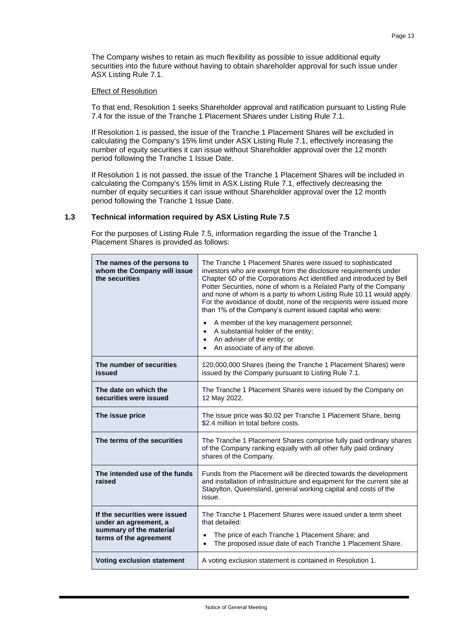The Company wishes to retain as much flexibility as possible to issue additional equity securities into the future without having to obtain shareholder approval for such issue under ASX Listing Rule 7.1.

### Effect of Resolution

To that end, Resolution 1 seeks Shareholder approval and ratification pursuant to Listing Rule 7.4 for the issue of the Tranche 1 Placement Shares under Listing Rule 7.1.

If Resolution 1 is passed, the issue of the Tranche 1 Placement Shares will be excluded in calculating the Company's 15% limit under ASX Listing Rule 7.1, effectively increasing the number of equity securities it can issue without Shareholder approval over the 12 month period following the Tranche 1 Issue Date.

If Resolution 1 is not passed, the issue of the Tranche 1 Placement Shares will be included in calculating the Company's 15% limit in ASX Listing Rule 7.1, effectively decreasing the number of equity securities it can issue without Shareholder approval over the 12 month period following the Tranche 1 Issue Date.

### **1.3 Technical information required by ASX Listing Rule 7.5**

For the purposes of Listing Rule 7.5, information regarding the issue of the Tranche 1 Placement Shares is provided as follows:

| The names of the persons to<br>whom the Company will issue<br>the securities | The Tranche 1 Placement Shares were issued to sophisticated<br>investors who are exempt from the disclosure requirements under<br>Chapter 6D of the Corporations Act identified and introduced by Bell<br>Potter Securities, none of whom is a Related Party of the Company<br>and none of whom is a party to whom Listing Rule 10.11 would apply.<br>For the avoidance of doubt, none of the recipients were issued more<br>than 1% of the Company's current issued capital who were:<br>A member of the key management personnel;<br>A substantial holder of the entity;<br>$\bullet$<br>An adviser of the entity; or<br>$\bullet$<br>An associate of any of the above. |
|------------------------------------------------------------------------------|---------------------------------------------------------------------------------------------------------------------------------------------------------------------------------------------------------------------------------------------------------------------------------------------------------------------------------------------------------------------------------------------------------------------------------------------------------------------------------------------------------------------------------------------------------------------------------------------------------------------------------------------------------------------------|
| The number of securities<br>issued                                           | 120,000,000 Shares (being the Tranche 1 Placement Shares) were<br>issued by the Company pursuant to Listing Rule 7.1.                                                                                                                                                                                                                                                                                                                                                                                                                                                                                                                                                     |
| The date on which the<br>securities were issued                              | The Tranche 1 Placement Shares were issued by the Company on<br>12 May 2022.                                                                                                                                                                                                                                                                                                                                                                                                                                                                                                                                                                                              |
| The issue price                                                              | The issue price was \$0.02 per Tranche 1 Placement Share, being<br>\$2.4 million in total before costs.                                                                                                                                                                                                                                                                                                                                                                                                                                                                                                                                                                   |
| The terms of the securities                                                  | The Tranche 1 Placement Shares comprise fully paid ordinary shares<br>of the Company ranking equally with all other fully paid ordinary<br>shares of the Company.                                                                                                                                                                                                                                                                                                                                                                                                                                                                                                         |
| The intended use of the funds<br>raised                                      | Funds from the Placement will be directed towards the development<br>and installation of infrastructure and equipment for the current site at<br>Stapylton, Queensland, general working capital and costs of the<br>issue.                                                                                                                                                                                                                                                                                                                                                                                                                                                |
| If the securities were issued<br>under an agreement, a                       | The Tranche 1 Placement Shares were issued under a term sheet<br>that detailed:                                                                                                                                                                                                                                                                                                                                                                                                                                                                                                                                                                                           |
| summary of the material<br>terms of the agreement                            | The price of each Tranche 1 Placement Share; and<br>The proposed issue date of each Tranche 1 Placement Share.                                                                                                                                                                                                                                                                                                                                                                                                                                                                                                                                                            |
| <b>Voting exclusion statement</b>                                            | A voting exclusion statement is contained in Resolution 1.                                                                                                                                                                                                                                                                                                                                                                                                                                                                                                                                                                                                                |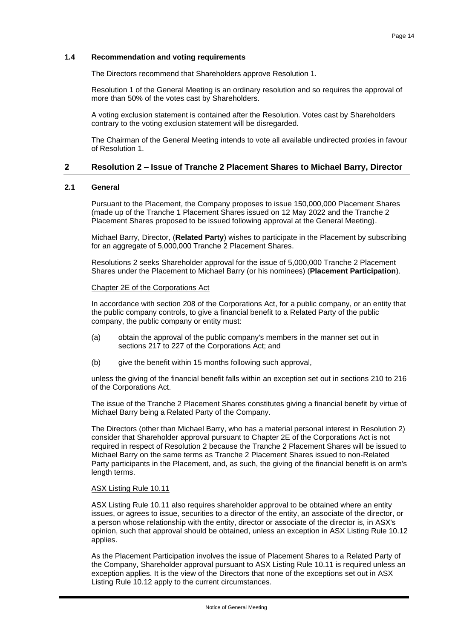### **1.4 Recommendation and voting requirements**

The Directors recommend that Shareholders approve Resolution 1.

Resolution 1 of the General Meeting is an ordinary resolution and so requires the approval of more than 50% of the votes cast by Shareholders.

A voting exclusion statement is contained after the Resolution. Votes cast by Shareholders contrary to the voting exclusion statement will be disregarded.

The Chairman of the General Meeting intends to vote all available undirected proxies in favour of Resolution 1.

### **2 Resolution 2 – Issue of Tranche 2 Placement Shares to Michael Barry, Director**

### **2.1 General**

Pursuant to the Placement, the Company proposes to issue 150,000,000 Placement Shares (made up of the Tranche 1 Placement Shares issued on 12 May 2022 and the Tranche 2 Placement Shares proposed to be issued following approval at the General Meeting).

Michael Barry, Director, (**Related Party**) wishes to participate in the Placement by subscribing for an aggregate of 5,000,000 Tranche 2 Placement Shares.

Resolutions 2 seeks Shareholder approval for the issue of 5,000,000 Tranche 2 Placement Shares under the Placement to Michael Barry (or his nominees) (**Placement Participation**).

### Chapter 2E of the Corporations Act

In accordance with section 208 of the Corporations Act, for a public company, or an entity that the public company controls, to give a financial benefit to a Related Party of the public company, the public company or entity must:

- (a) obtain the approval of the public company's members in the manner set out in sections 217 to 227 of the Corporations Act; and
- (b) give the benefit within 15 months following such approval,

unless the giving of the financial benefit falls within an exception set out in sections 210 to 216 of the Corporations Act.

The issue of the Tranche 2 Placement Shares constitutes giving a financial benefit by virtue of Michael Barry being a Related Party of the Company.

The Directors (other than Michael Barry, who has a material personal interest in Resolution 2) consider that Shareholder approval pursuant to Chapter 2E of the Corporations Act is not required in respect of Resolution 2 because the Tranche 2 Placement Shares will be issued to Michael Barry on the same terms as Tranche 2 Placement Shares issued to non-Related Party participants in the Placement, and, as such, the giving of the financial benefit is on arm's length terms.

### ASX Listing Rule 10.11

ASX Listing Rule 10.11 also requires shareholder approval to be obtained where an entity issues, or agrees to issue, securities to a director of the entity, an associate of the director, or a person whose relationship with the entity, director or associate of the director is, in ASX's opinion, such that approval should be obtained, unless an exception in ASX Listing Rule 10.12 applies.

As the Placement Participation involves the issue of Placement Shares to a Related Party of the Company, Shareholder approval pursuant to ASX Listing Rule 10.11 is required unless an exception applies. It is the view of the Directors that none of the exceptions set out in ASX Listing Rule 10.12 apply to the current circumstances.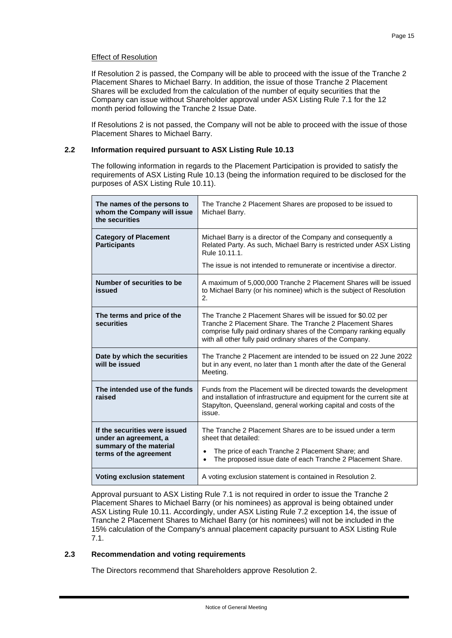### Effect of Resolution

If Resolution 2 is passed, the Company will be able to proceed with the issue of the Tranche 2 Placement Shares to Michael Barry. In addition, the issue of those Tranche 2 Placement Shares will be excluded from the calculation of the number of equity securities that the Company can issue without Shareholder approval under ASX Listing Rule 7.1 for the 12 month period following the Tranche 2 Issue Date.

If Resolutions 2 is not passed, the Company will not be able to proceed with the issue of those Placement Shares to Michael Barry.

### **2.2 Information required pursuant to ASX Listing Rule 10.13**

The following information in regards to the Placement Participation is provided to satisfy the requirements of ASX Listing Rule 10.13 (being the information required to be disclosed for the purposes of ASX Listing Rule 10.11).

| The names of the persons to<br>whom the Company will issue<br>the securities                                | The Tranche 2 Placement Shares are proposed to be issued to<br>Michael Barry.                                                                                                                                                                                |
|-------------------------------------------------------------------------------------------------------------|--------------------------------------------------------------------------------------------------------------------------------------------------------------------------------------------------------------------------------------------------------------|
| <b>Category of Placement</b><br><b>Participants</b>                                                         | Michael Barry is a director of the Company and consequently a<br>Related Party. As such, Michael Barry is restricted under ASX Listing<br>Rule 10.11.1.                                                                                                      |
|                                                                                                             | The issue is not intended to remunerate or incentivise a director.                                                                                                                                                                                           |
| Number of securities to be<br>issued                                                                        | A maximum of 5,000,000 Tranche 2 Placement Shares will be issued<br>to Michael Barry (or his nominee) which is the subject of Resolution<br>2.                                                                                                               |
| The terms and price of the<br>securities                                                                    | The Tranche 2 Placement Shares will be issued for \$0.02 per<br>Tranche 2 Placement Share. The Tranche 2 Placement Shares<br>comprise fully paid ordinary shares of the Company ranking equally<br>with all other fully paid ordinary shares of the Company. |
| Date by which the securities<br>will be issued                                                              | The Tranche 2 Placement are intended to be issued on 22 June 2022<br>but in any event, no later than 1 month after the date of the General<br>Meeting.                                                                                                       |
| The intended use of the funds<br>raised                                                                     | Funds from the Placement will be directed towards the development<br>and installation of infrastructure and equipment for the current site at<br>Stapylton, Queensland, general working capital and costs of the<br>issue.                                   |
| If the securities were issued<br>under an agreement, a<br>summary of the material<br>terms of the agreement | The Tranche 2 Placement Shares are to be issued under a term<br>sheet that detailed:<br>The price of each Tranche 2 Placement Share; and<br>$\bullet$<br>The proposed issue date of each Tranche 2 Placement Share.<br>$\bullet$                             |
| <b>Voting exclusion statement</b>                                                                           | A voting exclusion statement is contained in Resolution 2.                                                                                                                                                                                                   |

Approval pursuant to ASX Listing Rule 7.1 is not required in order to issue the Tranche 2 Placement Shares to Michael Barry (or his nominees) as approval is being obtained under ASX Listing Rule 10.11. Accordingly, under ASX Listing Rule 7.2 exception 14, the issue of Tranche 2 Placement Shares to Michael Barry (or his nominees) will not be included in the 15% calculation of the Company's annual placement capacity pursuant to ASX Listing Rule 7.1.

### **2.3 Recommendation and voting requirements**

The Directors recommend that Shareholders approve Resolution 2.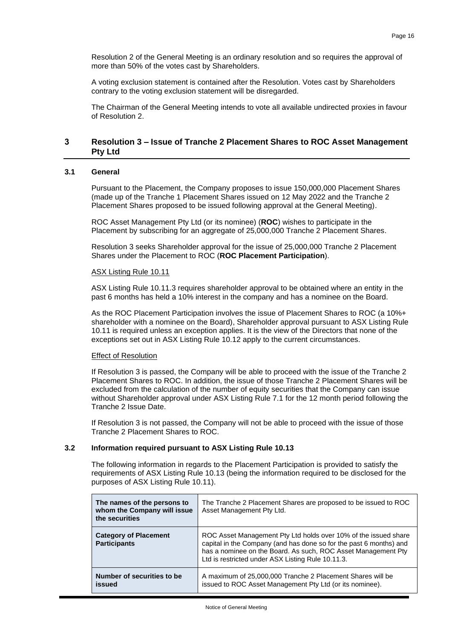Resolution 2 of the General Meeting is an ordinary resolution and so requires the approval of more than 50% of the votes cast by Shareholders.

A voting exclusion statement is contained after the Resolution. Votes cast by Shareholders contrary to the voting exclusion statement will be disregarded.

The Chairman of the General Meeting intends to vote all available undirected proxies in favour of Resolution 2.

### **3 Resolution 3 – Issue of Tranche 2 Placement Shares to ROC Asset Management Pty Ltd**

### **3.1 General**

Pursuant to the Placement, the Company proposes to issue 150,000,000 Placement Shares (made up of the Tranche 1 Placement Shares issued on 12 May 2022 and the Tranche 2 Placement Shares proposed to be issued following approval at the General Meeting).

ROC Asset Management Pty Ltd (or its nominee) (**ROC**) wishes to participate in the Placement by subscribing for an aggregate of 25,000,000 Tranche 2 Placement Shares.

Resolution 3 seeks Shareholder approval for the issue of 25,000,000 Tranche 2 Placement Shares under the Placement to ROC (**ROC Placement Participation**).

### ASX Listing Rule 10.11

ASX Listing Rule 10.11.3 requires shareholder approval to be obtained where an entity in the past 6 months has held a 10% interest in the company and has a nominee on the Board.

As the ROC Placement Participation involves the issue of Placement Shares to ROC (a 10%+ shareholder with a nominee on the Board), Shareholder approval pursuant to ASX Listing Rule 10.11 is required unless an exception applies. It is the view of the Directors that none of the exceptions set out in ASX Listing Rule 10.12 apply to the current circumstances.

### Effect of Resolution

If Resolution 3 is passed, the Company will be able to proceed with the issue of the Tranche 2 Placement Shares to ROC. In addition, the issue of those Tranche 2 Placement Shares will be excluded from the calculation of the number of equity securities that the Company can issue without Shareholder approval under ASX Listing Rule 7.1 for the 12 month period following the Tranche 2 Issue Date.

If Resolution 3 is not passed, the Company will not be able to proceed with the issue of those Tranche 2 Placement Shares to ROC.

### **3.2 Information required pursuant to ASX Listing Rule 10.13**

The following information in regards to the Placement Participation is provided to satisfy the requirements of ASX Listing Rule 10.13 (being the information required to be disclosed for the purposes of ASX Listing Rule 10.11).

| The names of the persons to<br>whom the Company will issue<br>the securities | The Tranche 2 Placement Shares are proposed to be issued to ROC<br>Asset Management Pty Ltd.                                                                                                                                                                |
|------------------------------------------------------------------------------|-------------------------------------------------------------------------------------------------------------------------------------------------------------------------------------------------------------------------------------------------------------|
| <b>Category of Placement</b><br><b>Participants</b>                          | ROC Asset Management Pty Ltd holds over 10% of the issued share<br>capital in the Company (and has done so for the past 6 months) and<br>has a nominee on the Board. As such, ROC Asset Management Pty<br>Ltd is restricted under ASX Listing Rule 10.11.3. |
| Number of securities to be<br>issued                                         | A maximum of 25,000,000 Tranche 2 Placement Shares will be<br>issued to ROC Asset Management Pty Ltd (or its nominee).                                                                                                                                      |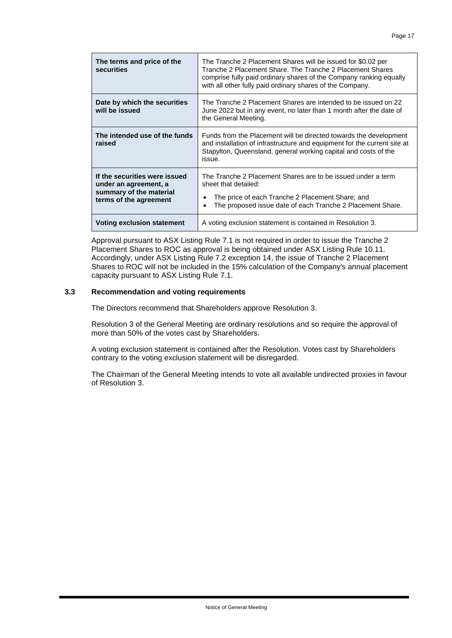| The terms and price of the<br><b>securities</b>                                                             | The Tranche 2 Placement Shares will be issued for \$0.02 per<br>Tranche 2 Placement Share. The Tranche 2 Placement Shares<br>comprise fully paid ordinary shares of the Company ranking equally<br>with all other fully paid ordinary shares of the Company. |  |
|-------------------------------------------------------------------------------------------------------------|--------------------------------------------------------------------------------------------------------------------------------------------------------------------------------------------------------------------------------------------------------------|--|
| Date by which the securities<br>will be issued                                                              | The Tranche 2 Placement Shares are intended to be issued on 22<br>June 2022 but in any event, no later than 1 month after the date of<br>the General Meeting.                                                                                                |  |
| The intended use of the funds<br>raised                                                                     | Funds from the Placement will be directed towards the development<br>and installation of infrastructure and equipment for the current site at<br>Stapylton, Queensland, general working capital and costs of the<br>issue.                                   |  |
| If the securities were issued<br>under an agreement, a<br>summary of the material<br>terms of the agreement | The Tranche 2 Placement Shares are to be issued under a term<br>sheet that detailed:<br>The price of each Tranche 2 Placement Share; and<br>The proposed issue date of each Tranche 2 Placement Share.                                                       |  |
| Voting exclusion statement                                                                                  | A voting exclusion statement is contained in Resolution 3.                                                                                                                                                                                                   |  |

Approval pursuant to ASX Listing Rule 7.1 is not required in order to issue the Tranche 2 Placement Shares to ROC as approval is being obtained under ASX Listing Rule 10.11. Accordingly, under ASX Listing Rule 7.2 exception 14, the issue of Tranche 2 Placement Shares to ROC will not be included in the 15% calculation of the Company's annual placement capacity pursuant to ASX Listing Rule 7.1.

### **3.3 Recommendation and voting requirements**

The Directors recommend that Shareholders approve Resolution 3.

Resolution 3 of the General Meeting are ordinary resolutions and so require the approval of more than 50% of the votes cast by Shareholders.

A voting exclusion statement is contained after the Resolution. Votes cast by Shareholders contrary to the voting exclusion statement will be disregarded.

The Chairman of the General Meeting intends to vote all available undirected proxies in favour of Resolution 3.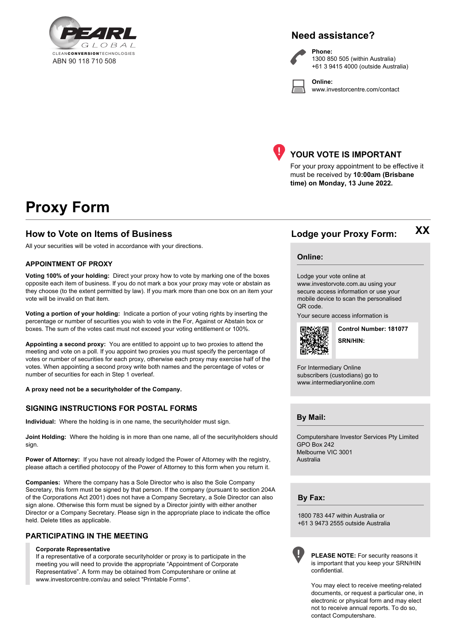

### **Need assistance?**

**Online:**



**Phone:** 1300 850 505 (within Australia) +61 3 9415 4000 (outside Australia)

www.investorcentre.com/contact



### **YOUR VOTE IS IMPORTANT**

For your proxy appointment to be effective it must be received by **10:00am (Brisbane time) on Monday, 13 June 2022.**

# **Proxy Form**

### **How to Vote on Items of Business Lodge your Proxy Form:**

All your securities will be voted in accordance with your directions.

### **APPOINTMENT OF PROXY**

**Voting 100% of your holding:** Direct your proxy how to vote by marking one of the boxes opposite each item of business. If you do not mark a box your proxy may vote or abstain as they choose (to the extent permitted by law). If you mark more than one box on an item your vote will be invalid on that item.

**Voting a portion of your holding:** Indicate a portion of your voting rights by inserting the percentage or number of securities you wish to vote in the For, Against or Abstain box or boxes. The sum of the votes cast must not exceed your voting entitlement or 100%.

**Appointing a second proxy:** You are entitled to appoint up to two proxies to attend the meeting and vote on a poll. If you appoint two proxies you must specify the percentage of votes or number of securities for each proxy, otherwise each proxy may exercise half of the votes. When appointing a second proxy write both names and the percentage of votes or number of securities for each in Step 1 overleaf.

**A proxy need not be a securityholder of the Company.**

### **SIGNING INSTRUCTIONS FOR POSTAL FORMS**

**Individual:** Where the holding is in one name, the securityholder must sign.

**Joint Holding:** Where the holding is in more than one name, all of the securityholders should sign.

**Power of Attorney:** If you have not already lodged the Power of Attorney with the registry, please attach a certified photocopy of the Power of Attorney to this form when you return it.

**Companies:** Where the company has a Sole Director who is also the Sole Company Secretary, this form must be signed by that person. If the company (pursuant to section 204A of the Corporations Act 2001) does not have a Company Secretary, a Sole Director can also sign alone. Otherwise this form must be signed by a Director jointly with either another Director or a Company Secretary. Please sign in the appropriate place to indicate the office held. Delete titles as applicable.

### **PARTICIPATING IN THE MEETING**

#### **Corporate Representative**

If a representative of a corporate securityholder or proxy is to participate in the meeting you will need to provide the appropriate "Appointment of Corporate Representative". A form may be obtained from Computershare or online at www.investorcentre.com/au and select "Printable Forms".

**XX**

**Online:**

Lodge your vote online at

www.investorvote.com.au using your secure access information or use your mobile device to scan the personalised QR code.

Your secure access information is



**SRN/HIN: Control Number: 181077**

For Intermediary Online subscribers (custodians) go to www.intermediaryonline.com

**By Mail:**

Computershare Investor Services Pty Limited GPO Box 242 Melbourne VIC 3001 Australia

**By Fax:**

1800 783 447 within Australia or +61 3 9473 2555 outside Australia



**PLEASE NOTE:** For security reasons it is important that you keep your SRN/HIN confidential.

You may elect to receive meeting-related documents, or request a particular one, in electronic or physical form and may elect not to receive annual reports. To do so, contact Computershare.